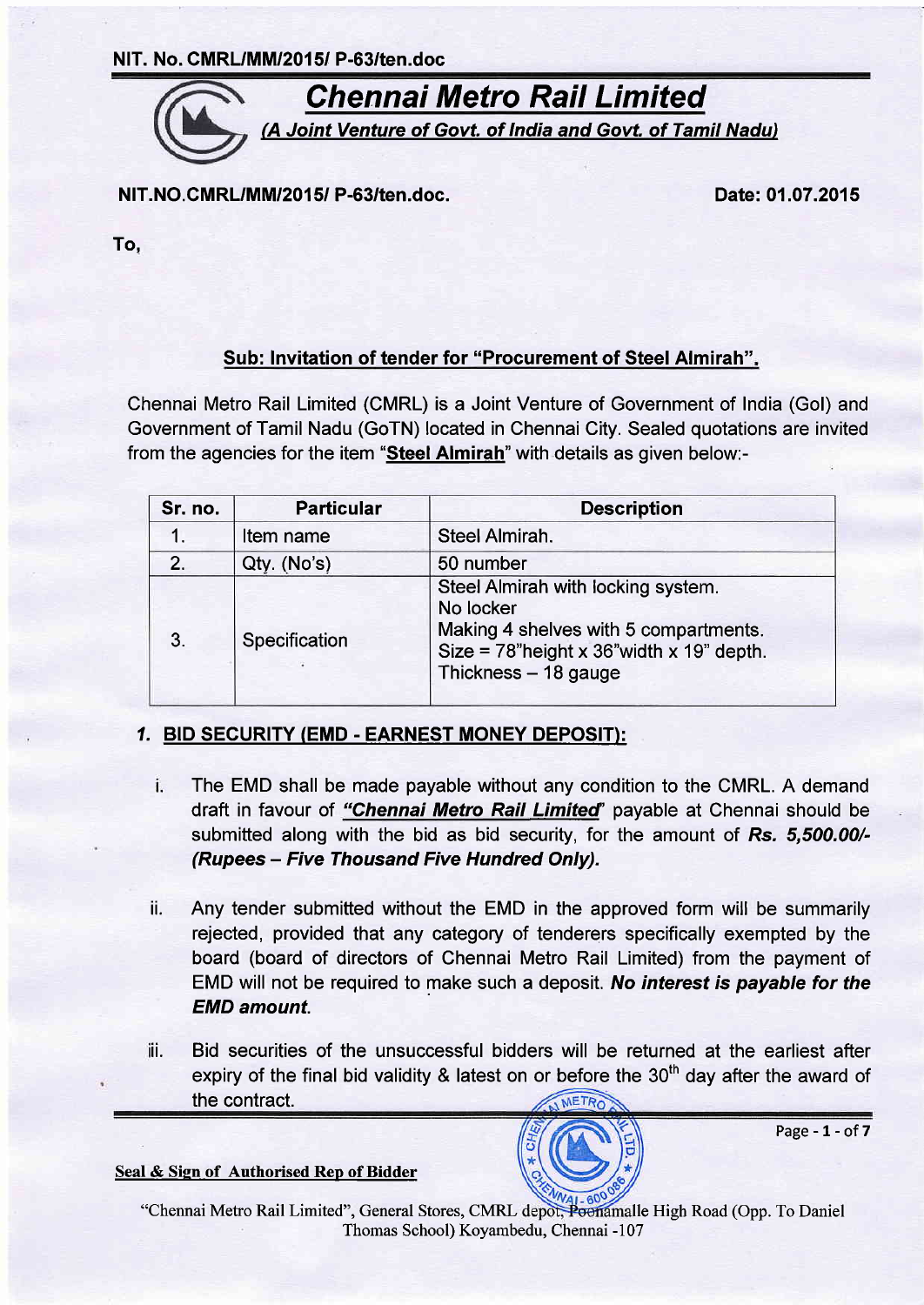NIT. No. CMRL/MM/2015/ P-63/ten.doc



NIT. NO. CMRL/MM/2015/ P-63/ten.doc.

Date:01.07.2015

To,

## Sub: lnvitation of tender for "Procurement of Steel Almirah"

Chennai Metro Rail Limited (CMRL) is a Joint Venture of Government of India (Gol) and Government of Tamil Nadu (GoTN) located in Chennai City. Sealed quotations are invited from the agencies for the item "Steel Almirah" with details as given below:-

| Sr. no. | <b>Particular</b> | <b>Description</b>                                                                                                                                               |  |  |
|---------|-------------------|------------------------------------------------------------------------------------------------------------------------------------------------------------------|--|--|
|         | Item name         | Steel Almirah.                                                                                                                                                   |  |  |
| 2.      | Qty. (No's)       | 50 number                                                                                                                                                        |  |  |
| 3.      | Specification     | Steel Almirah with locking system.<br>No locker<br>Making 4 shelves with 5 compartments.<br>Size = $78$ "height x 36" width x 19" depth.<br>Thickness - 18 gauge |  |  |

## 1. BID SECURITY (EMD - EARNEST MONEY DEPOSIT):

- i. The EMD shall be made payable without any condition to the CMRL. A demand draft in favour of "Chennai Metro Rail Limited" payable at Chennai should be submitted along with the bid as bid security, for the amount of Rs. 5,500.00/-(Rupees - Five Thousand Five Hundred Only).
- ii. Any tender submitted without the EMD in the approved form will be summarily rejected, provided that any category of tenderers specifically exempted by the board (board of directors of Chennai Metro Rail Limited) from the payment of EMD will not be required to make such a deposit. No interest is payable for the EMD amount.
- ii. Bid securities of the unsuccessful bidders will be returned at the earliest after expiry of the final bid validity & latest on or before the 30<sup>th</sup> day after the award of the contract. METRO





Page  $-1$  - of  $7$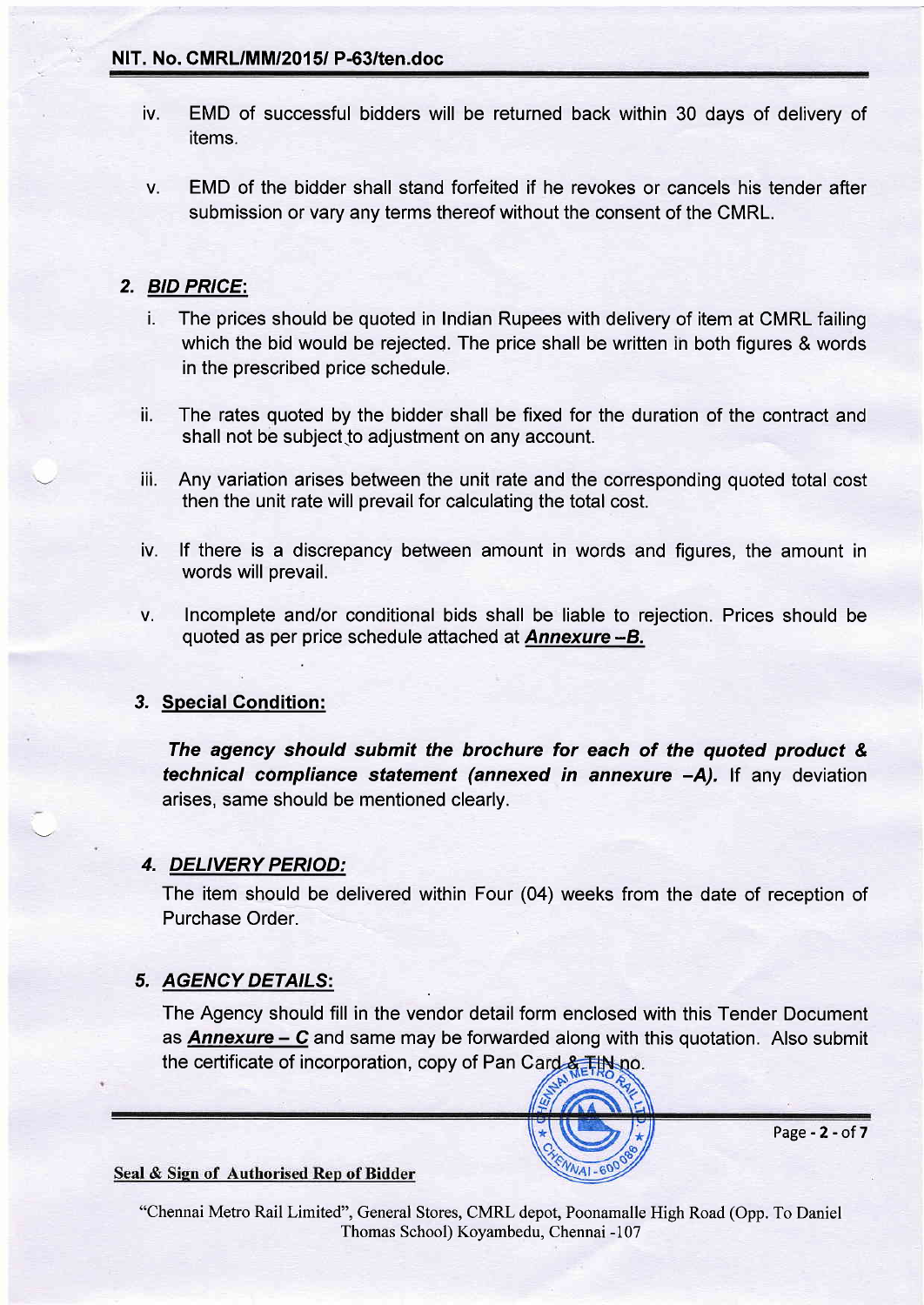#### NIT. No. CMRL/MM/2015/ P-63/ten.doc

- EMD of successful bidders will be returned back within 30 days of delivery of items. tv.
- EMD of the bidder shall stand forfeited if he revokes or cancels his tender after submission or vary any terms thereof without the consent of the CMRL. V.

### 2. BID PRICE:

- i. The prices should be quoted in Indian Rupees with delivery of item at CMRL failing which the bid would be rejected. The price shall be written in both figures & words in the prescribed price schedule.
- ii. The rates quoted by the bidder shall be fixed for the duration of the contract and shall not be subject to adjustment on any account.
- iii. Any variation arises between the unit rate and the corresponding quoted total cost then the unit rate will prevail for calculating the total cost.
- iv. lf there is a discrepancy between amount in words and figures, the amount in words will prevail.
- v. lncomplete and/or conditional bids shall be liable to rejection. Prices should be quoted as per price schedule attached at **Annexure**  $-B$ .

#### 3, Special Condition:

The agency should submit the brochure for each of the quoted product & t<mark>echnical compliance statement (annexed in annexure –A).</mark> If any deviatior arises, same should be mentioned clearly.

#### 4. DELIVERY PERIOD:

The item should be delivered within Four (04) weeks from the date of reception of Purchase Order.

#### 5. AGENCY DETAILS

The Agency should fill in the vendor detail form enclosed with this Tender Document as **Annexure – C** and same may be forwarded along with this quotation. Also submit the certificate of incorporation, copy of Pan Card & TiN no.



Page-2-of7

#### Seal & Sign of Authorised Rep of Bidder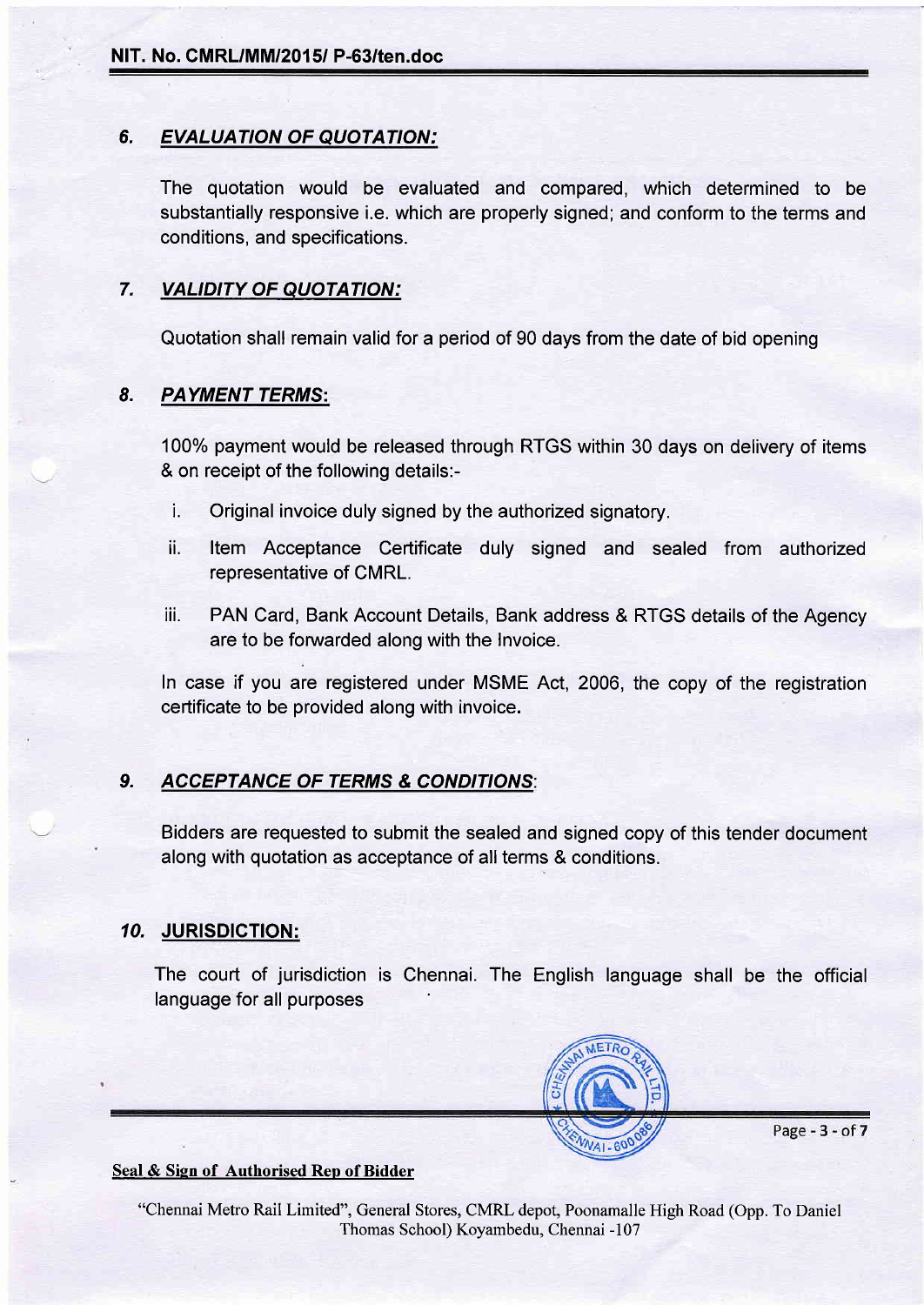#### 6. EVALUATION OF QUOTATION:

The quotation would be evaluated and compared, which determined to be substantially responsive i.e. which are properly signed; and conform to the terms and conditions, and specifications.

### 7. VALIDITY OF QUOTATION:

Quotation shall remain valid for a period of 90 days from the date of bid opening

#### 8. PAYMENT TERMS:

100% payment would be released through RTGS within 30 days on delivery of items & on receipt of the following details:-

- i. Original invoice duly signed by the authorized signatory.
- ii. ltem Acceptance Certificate duly signed and sealed from authorized representative of CMRL.
- iii. PAN Card, Bank Account Details, Bank address & RTGS details of the Agency are to be forwarded along with the Invoice.

In case if you are registered under MSME Act, 2006, the copy of the registration certificate to be provided along with invoice.

## 9. ACCEPTANCE OF TERMS & CONDITIONS:

Bidders are requested to submit the sealed and signed copy of this tender document along with quotation as acceptance of all terms & conditions.

#### 10. JURISDIGTION:

The court of jurisdiction is Chennai. The English language shall be the official language for all purposes



Page - 3 - of 7

#### Seal & Sign of Authorised Rep of Bidder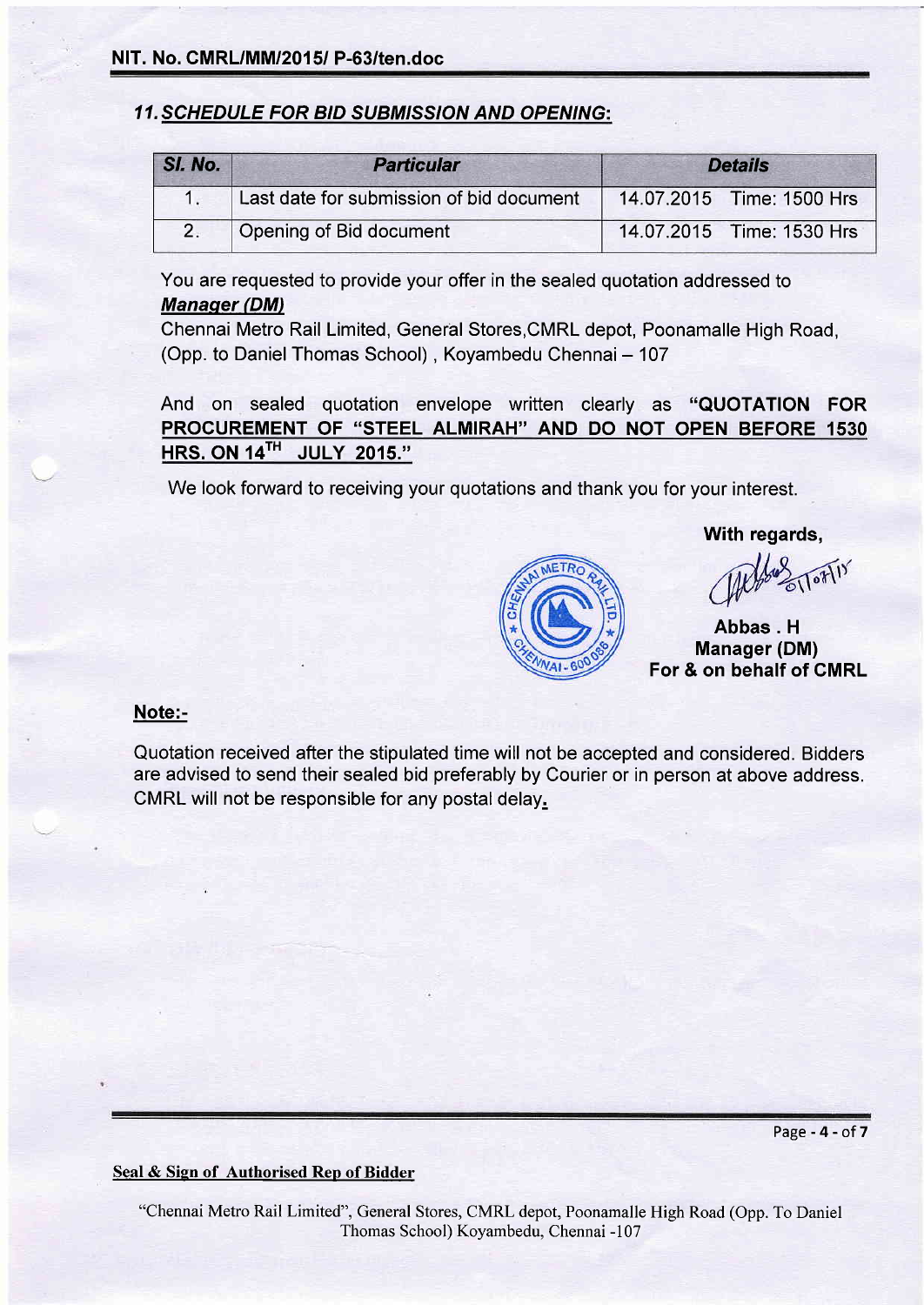### **11. SCHEDULE FOR BID SUBMISSION AND OPENING:**

| SI. No. | <b>Particular</b>                        | <b>Details</b> |                           |  |
|---------|------------------------------------------|----------------|---------------------------|--|
|         | Last date for submission of bid document |                | 14.07.2015 Time: 1500 Hrs |  |
|         | Opening of Bid document                  |                | 14.07.2015 Time: 1530 Hrs |  |

You are requested to provide your offer in the sealed quotation addressed to **Manager (DM)** 

Chennai Metro Rail Limited, General Stores,CMRL depot, Poonamalle High Road, (Opp. to Daniel Thomas School), Koyambedu Chennai - 107

And on sealed quotation envelope written clearly as "QUOTATION FOR PROCUREMENT OF "STEEL ALMIRAH'' AND DO NOT OPEN BEFORE 1530 HRS. ON 14TH JULY 2015."

We look forward to receiving your quotations and thank you for your interest.

FTR

#### With regards,

Abbas. H Manager (DM) For & on behalf of GMRL

#### Note:-

Quotation received after the stipulated time will not be accepted and considered. Bidders are advised to send their sealed bid preferably by Courier or in person at above address. CMRL will not be responsible for any postal delay.

Seal & Sign of Authorised Rep of Bidder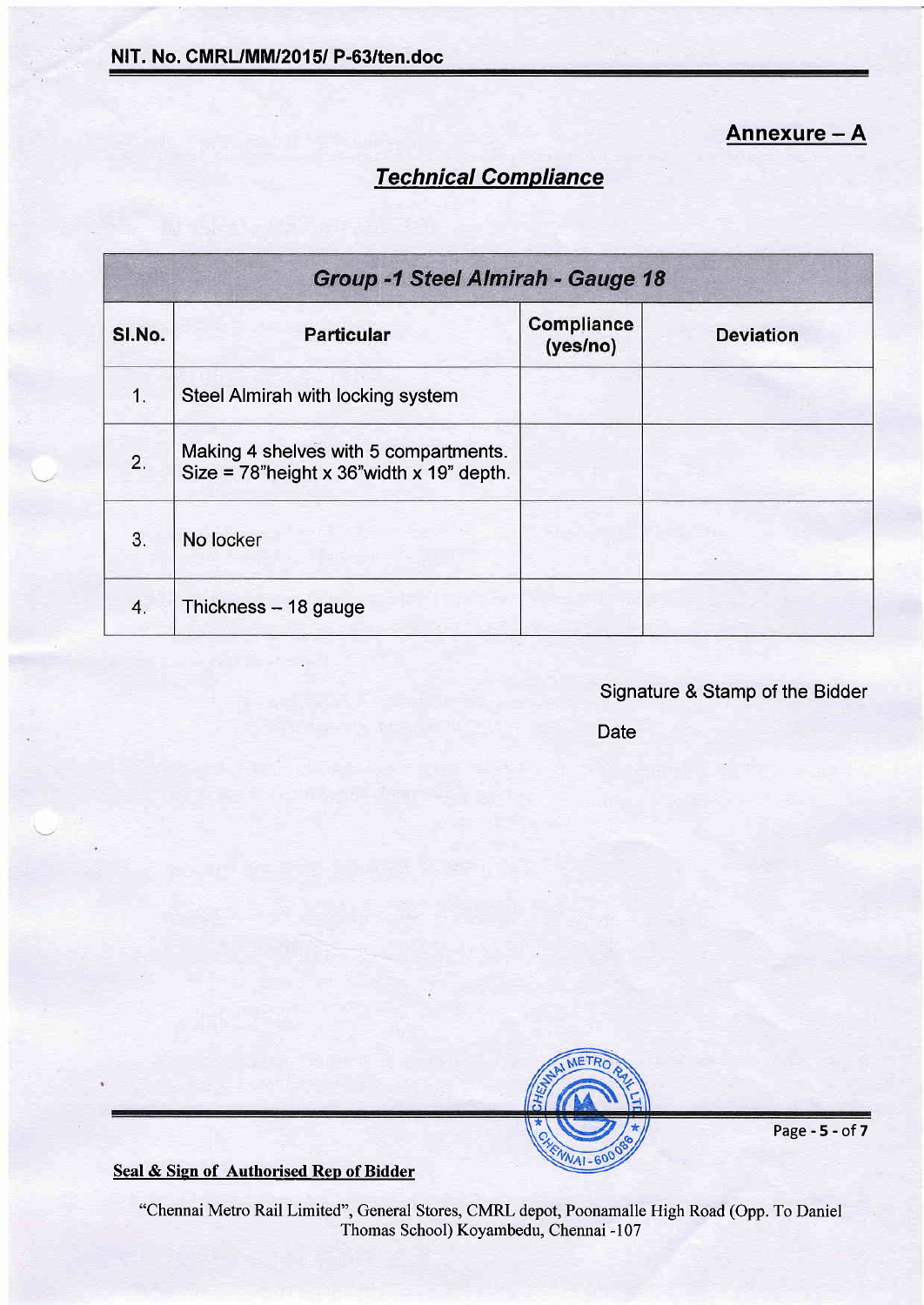Annexure - A

# Technical Compliance

| <b>Group -1 Steel Almirah - Gauge 18</b> |                                                                                       |                        |                  |  |  |  |
|------------------------------------------|---------------------------------------------------------------------------------------|------------------------|------------------|--|--|--|
| SI.No.                                   | <b>Particular</b>                                                                     | Compliance<br>(yes/no) | <b>Deviation</b> |  |  |  |
| 1.                                       | Steel Almirah with locking system                                                     |                        |                  |  |  |  |
| 2.                                       | Making 4 shelves with 5 compartments.<br>Size = $78$ "height x 36" width x 19" depth. |                        |                  |  |  |  |
| 3.                                       | No locker                                                                             |                        |                  |  |  |  |
| 4.                                       | Thickness $-18$ gauge                                                                 |                        |                  |  |  |  |

## Signature & Stamp of the Bidder

Date



Page-5-of7

Seal & Sign of Authorised Rep of Bidder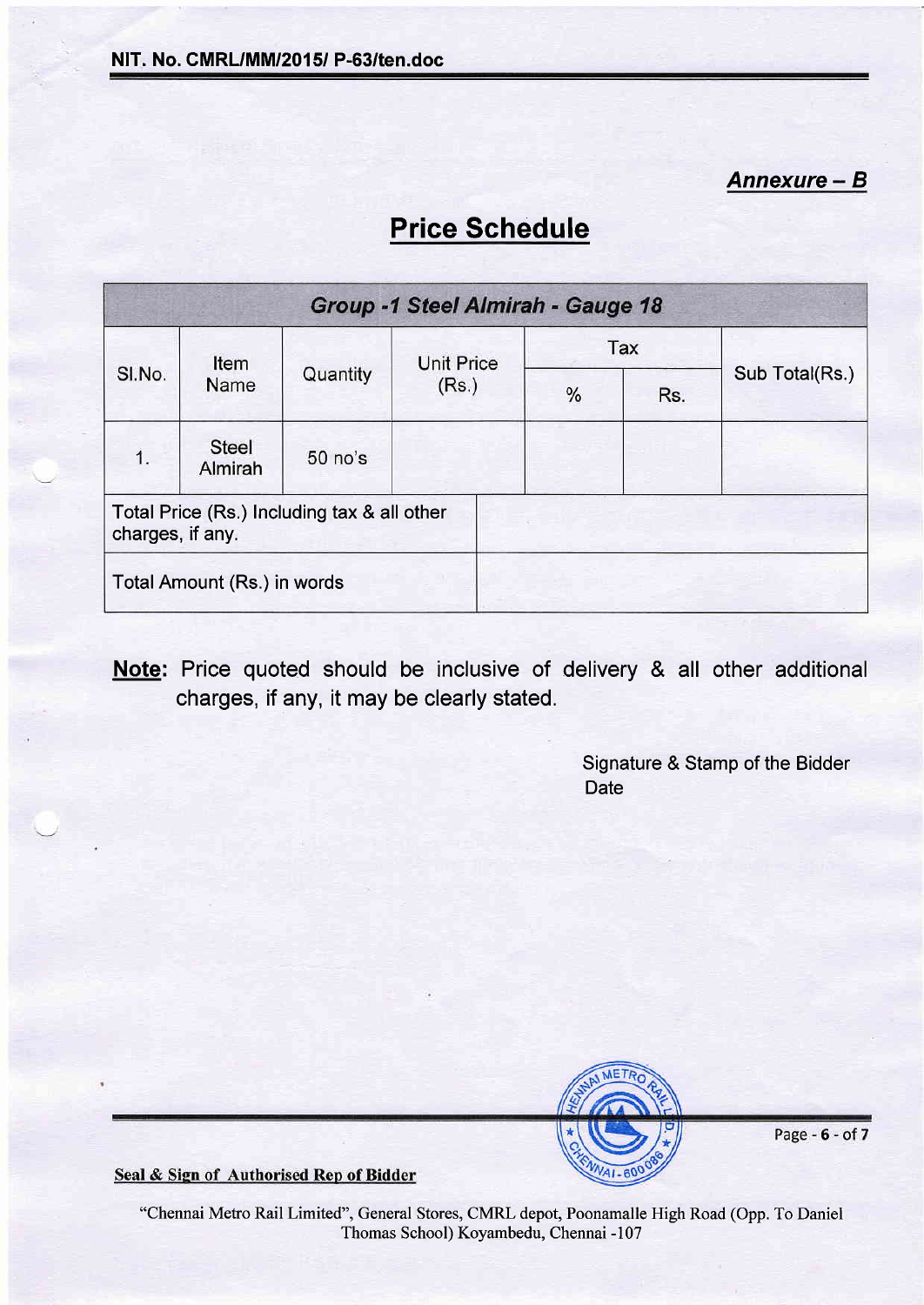Annexure - <sup>B</sup>

# Price Schedule

| Group -1 Steel Almirah - Gauge 18                               |                         |          |                   |   |     |                |  |
|-----------------------------------------------------------------|-------------------------|----------|-------------------|---|-----|----------------|--|
| SI.No.                                                          | Item<br>Name            | Quantity | <b>Unit Price</b> |   | Tax | Sub Total(Rs.) |  |
|                                                                 |                         |          | (Rs.)             | % | Rs. |                |  |
| 1.                                                              | <b>Steel</b><br>Almirah | 50 no's  |                   |   |     |                |  |
| Total Price (Rs.) Including tax & all other<br>charges, if any. |                         |          |                   |   |     |                |  |
| Total Amount (Rs.) in words                                     |                         |          |                   |   |     |                |  |

Note: Price quoted should be inclusive of delivery & all other additional charges, if any, it may be clearly stated.

> Signature & Stamp of the Bidder **Date**



Page - 6 - of 7

Seal & Sign of Authorised Rep of Bidder